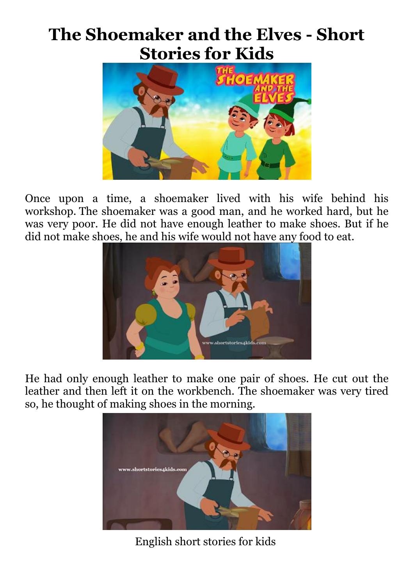## **The Shoemaker and the Elves - Short Stories for Kids**



Once upon a time, a shoemaker lived with his wife behind his workshop. The shoemaker was a good man, and he worked hard, but he was very poor. He did not have enough leather to make shoes. But if he did not make shoes, he and his wife would not have any food to eat.



He had only enough leather to make one pair of shoes. He cut out the leather and then left it on the workbench. The shoemaker was very tired so, he thought of making shoes in the morning.



English short stories for kids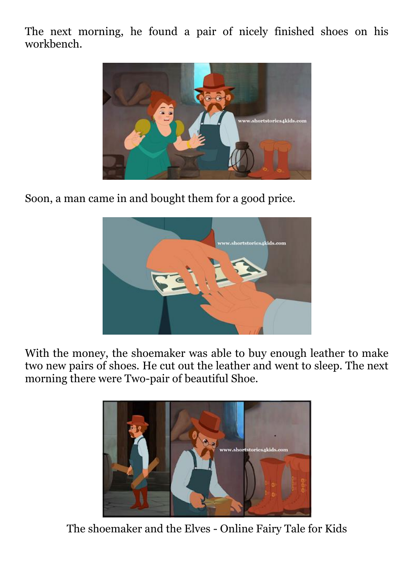The next morning, he found a pair of nicely finished shoes on his workbench.



Soon, a man came in and bought them for a good price.



With the money, the shoemaker was able to buy enough leather to make two new pairs of shoes. He cut out the leather and went to sleep. The next morning there were Two-pair of beautiful Shoe.



The shoemaker and the Elves - Online Fairy Tale for Kids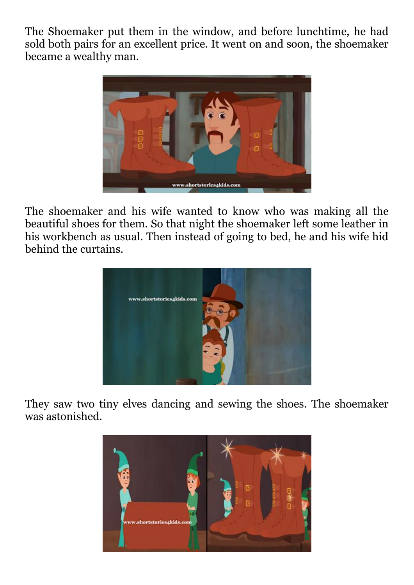The Shoemaker put them in the window, and before lunchtime, he had sold both pairs for an excellent price. It went on and soon, the shoemaker became a wealthy man.



The shoemaker and his wife wanted to know who was making all the beautiful shoes for them. So that night the shoemaker left some leather in his workbench as usual. Then instead of going to bed, he and his wife hid behind the curtains.



They saw two tiny elves dancing and sewing the shoes. The shoemaker was astonished.